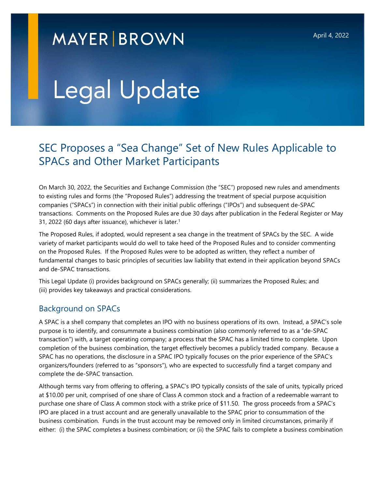# **MAYER BROWN**

# Legal Update

# SEC Proposes a "Sea Change" Set of New Rules Applicable to SPACs and Other Market Participants

On March 30, 2022, the Securities and Exchange Commission (the "SEC") proposed new rules and amendments to existing rules and forms (the "Proposed Rules") addressing the treatment of special purpose acquisition companies ("SPACs") in connection with their initial public offerings ("IPOs") and subsequent de-SPAC transactions. Comments on the Proposed Rules are due 30 days after publication in the Federal Register or May 31, 2022 (60 days after issuance), whichever is later. $1$ 

The Proposed Rules, if adopted, would represent a sea change in the treatment of SPACs by the SEC. A wide variety of market participants would do well to take heed of the Proposed Rules and to consider commenting on the Proposed Rules. If the Proposed Rules were to be adopted as written, they reflect a number of fundamental changes to basic principles of securities law liability that extend in their application beyond SPACs and de-SPAC transactions.

This Legal Update (i) provides background on SPACs generally; (ii) summarizes the Proposed Rules; and (iii) provides key takeaways and practical considerations.

### Background on SPACs

A SPAC is a shell company that completes an IPO with no business operations of its own. Instead, a SPAC's sole purpose is to identify, and consummate a business combination (also commonly referred to as a "de-SPAC transaction") with, a target operating company; a process that the SPAC has a limited time to complete. Upon completion of the business combination, the target effectively becomes a publicly traded company. Because a SPAC has no operations, the disclosure in a SPAC IPO typically focuses on the prior experience of the SPAC's organizers/founders (referred to as "sponsors"), who are expected to successfully find a target company and complete the de-SPAC transaction.

Although terms vary from offering to offering, a SPAC's IPO typically consists of the sale of units, typically priced at \$10.00 per unit, comprised of one share of Class A common stock and a fraction of a redeemable warrant to purchase one share of Class A common stock with a strike price of \$11.50. The gross proceeds from a SPAC's IPO are placed in a trust account and are generally unavailable to the SPAC prior to consummation of the business combination. Funds in the trust account may be removed only in limited circumstances, primarily if either: (i) the SPAC completes a business combination; or (ii) the SPAC fails to complete a business combination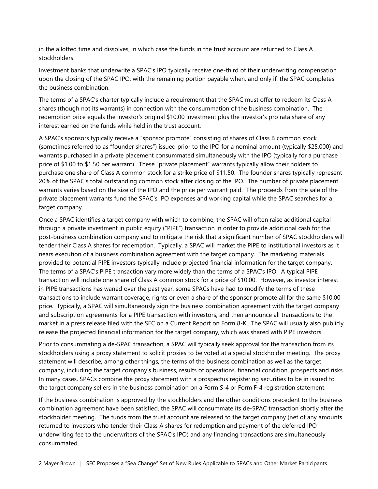in the allotted time and dissolves, in which case the funds in the trust account are returned to Class A stockholders.

Investment banks that underwrite a SPAC's IPO typically receive one-third of their underwriting compensation upon the closing of the SPAC IPO, with the remaining portion payable when, and only if, the SPAC completes the business combination.

The terms of a SPAC's charter typically include a requirement that the SPAC must offer to redeem its Class A shares (though not its warrants) in connection with the consummation of the business combination. The redemption price equals the investor's original \$10.00 investment plus the investor's pro rata share of any interest earned on the funds while held in the trust account.

A SPAC's sponsors typically receive a "sponsor promote" consisting of shares of Class B common stock (sometimes referred to as "founder shares") issued prior to the IPO for a nominal amount (typically \$25,000) and warrants purchased in a private placement consummated simultaneously with the IPO (typically for a purchase price of \$1.00 to \$1.50 per warrant). These "private placement" warrants typically allow their holders to purchase one share of Class A common stock for a strike price of \$11.50. The founder shares typically represent 20% of the SPAC's total outstanding common stock after closing of the IPO. The number of private placement warrants varies based on the size of the IPO and the price per warrant paid. The proceeds from the sale of the private placement warrants fund the SPAC's IPO expenses and working capital while the SPAC searches for a target company.

Once a SPAC identifies a target company with which to combine, the SPAC will often raise additional capital through a private investment in public equity ("PIPE") transaction in order to provide additional cash for the post-business combination company and to mitigate the risk that a significant number of SPAC stockholders will tender their Class A shares for redemption. Typically, a SPAC will market the PIPE to institutional investors as it nears execution of a business combination agreement with the target company. The marketing materials provided to potential PIPE investors typically include projected financial information for the target company. The terms of a SPAC's PIPE transaction vary more widely than the terms of a SPAC's IPO. A typical PIPE transaction will include one share of Class A common stock for a price of \$10.00. However, as investor interest in PIPE transactions has waned over the past year, some SPACs have had to modify the terms of these transactions to include warrant coverage, rights or even a share of the sponsor promote all for the same \$10.00 price. Typically, a SPAC will simultaneously sign the business combination agreement with the target company and subscription agreements for a PIPE transaction with investors, and then announce all transactions to the market in a press release filed with the SEC on a Current Report on Form 8-K. The SPAC will usually also publicly release the projected financial information for the target company, which was shared with PIPE investors.

Prior to consummating a de-SPAC transaction, a SPAC will typically seek approval for the transaction from its stockholders using a proxy statement to solicit proxies to be voted at a special stockholder meeting. The proxy statement will describe, among other things, the terms of the business combination as well as the target company, including the target company's business, results of operations, financial condition, prospects and risks. In many cases, SPACs combine the proxy statement with a prospectus registering securities to be in issued to the target company sellers in the business combination on a Form S-4 or Form F-4 registration statement.

If the business combination is approved by the stockholders and the other conditions precedent to the business combination agreement have been satisfied, the SPAC will consummate its de-SPAC transaction shortly after the stockholder meeting. The funds from the trust account are released to the target company (net of any amounts returned to investors who tender their Class A shares for redemption and payment of the deferred IPO underwriting fee to the underwriters of the SPAC's IPO) and any financing transactions are simultaneously consummated.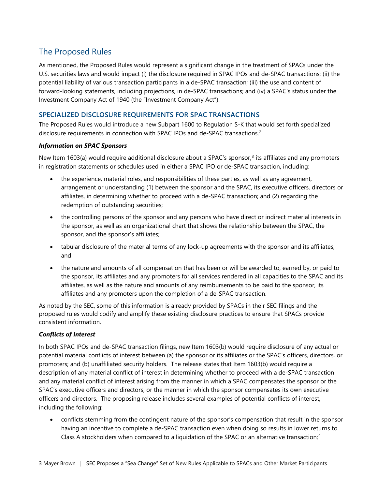# The Proposed Rules

As mentioned, the Proposed Rules would represent a significant change in the treatment of SPACs under the U.S. securities laws and would impact (i) the disclosure required in SPAC IPOs and de-SPAC transactions; (ii) the potential liability of various transaction participants in a de-SPAC transaction; (iii) the use and content of forward-looking statements, including projections, in de-SPAC transactions; and (iv) a SPAC's status under the Investment Company Act of 1940 (the "Investment Company Act").

#### SPECIALIZED DISCLOSURE REQUIREMENTS FOR SPAC TRANSACTIONS

The Proposed Rules would introduce a new Subpart 1600 to Regulation S-K that would set forth specialized disclosure requirements in connection with SPAC IPOs and de-SPAC transactions.<sup>2</sup>

#### Information on SPAC Sponsors

New Item 1603(a) would require additional disclosure about a SPAC's sponsor,<sup>3</sup> its affiliates and any promoters in registration statements or schedules used in either a SPAC IPO or de-SPAC transaction, including:

- the experience, material roles, and responsibilities of these parties, as well as any agreement, arrangement or understanding (1) between the sponsor and the SPAC, its executive officers, directors or affiliates, in determining whether to proceed with a de-SPAC transaction; and (2) regarding the redemption of outstanding securities;
- the controlling persons of the sponsor and any persons who have direct or indirect material interests in the sponsor, as well as an organizational chart that shows the relationship between the SPAC, the sponsor, and the sponsor's affiliates;
- tabular disclosure of the material terms of any lock-up agreements with the sponsor and its affiliates; and
- the nature and amounts of all compensation that has been or will be awarded to, earned by, or paid to the sponsor, its affiliates and any promoters for all services rendered in all capacities to the SPAC and its affiliates, as well as the nature and amounts of any reimbursements to be paid to the sponsor, its affiliates and any promoters upon the completion of a de-SPAC transaction.

As noted by the SEC, some of this information is already provided by SPACs in their SEC filings and the proposed rules would codify and amplify these existing disclosure practices to ensure that SPACs provide consistent information.

#### Conflicts of Interest

In both SPAC IPOs and de-SPAC transaction filings, new Item 1603(b) would require disclosure of any actual or potential material conflicts of interest between (a) the sponsor or its affiliates or the SPAC's officers, directors, or promoters; and (b) unaffiliated security holders. The release states that Item 1603(b) would require a description of any material conflict of interest in determining whether to proceed with a de-SPAC transaction and any material conflict of interest arising from the manner in which a SPAC compensates the sponsor or the SPAC's executive officers and directors, or the manner in which the sponsor compensates its own executive officers and directors. The proposing release includes several examples of potential conflicts of interest, including the following:

 conflicts stemming from the contingent nature of the sponsor's compensation that result in the sponsor having an incentive to complete a de-SPAC transaction even when doing so results in lower returns to Class A stockholders when compared to a liquidation of the SPAC or an alternative transaction;<sup>4</sup>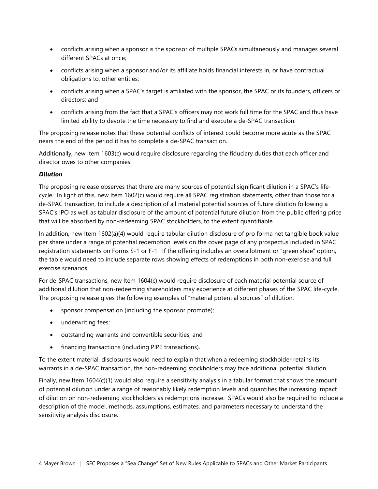- conflicts arising when a sponsor is the sponsor of multiple SPACs simultaneously and manages several different SPACs at once;
- conflicts arising when a sponsor and/or its affiliate holds financial interests in, or have contractual obligations to, other entities;
- conflicts arising when a SPAC's target is affiliated with the sponsor, the SPAC or its founders, officers or directors; and
- conflicts arising from the fact that a SPAC's officers may not work full time for the SPAC and thus have limited ability to devote the time necessary to find and execute a de-SPAC transaction.

The proposing release notes that these potential conflicts of interest could become more acute as the SPAC nears the end of the period it has to complete a de-SPAC transaction.

Additionally, new Item 1603(c) would require disclosure regarding the fiduciary duties that each officer and director owes to other companies.

#### Dilution

The proposing release observes that there are many sources of potential significant dilution in a SPAC's lifecycle. In light of this, new Item 1602(c) would require all SPAC registration statements, other than those for a de-SPAC transaction, to include a description of all material potential sources of future dilution following a SPAC's IPO as well as tabular disclosure of the amount of potential future dilution from the public offering price that will be absorbed by non-redeeming SPAC stockholders, to the extent quantifiable.

In addition, new Item 1602(a)(4) would require tabular dilution disclosure of pro forma net tangible book value per share under a range of potential redemption levels on the cover page of any prospectus included in SPAC registration statements on Forms S-1 or F-1. If the offering includes an overallotment or "green shoe" option, the table would need to include separate rows showing effects of redemptions in both non-exercise and full exercise scenarios.

For de-SPAC transactions, new Item 1604(c) would require disclosure of each material potential source of additional dilution that non-redeeming shareholders may experience at different phases of the SPAC life-cycle. The proposing release gives the following examples of "material potential sources" of dilution:

- sponsor compensation (including the sponsor promote);
- underwriting fees;
- outstanding warrants and convertible securities; and
- financing transactions (including PIPE transactions).

To the extent material, disclosures would need to explain that when a redeeming stockholder retains its warrants in a de-SPAC transaction, the non-redeeming stockholders may face additional potential dilution.

Finally, new Item 1604(c)(1) would also require a sensitivity analysis in a tabular format that shows the amount of potential dilution under a range of reasonably likely redemption levels and quantifies the increasing impact of dilution on non-redeeming stockholders as redemptions increase. SPACs would also be required to include a description of the model, methods, assumptions, estimates, and parameters necessary to understand the sensitivity analysis disclosure.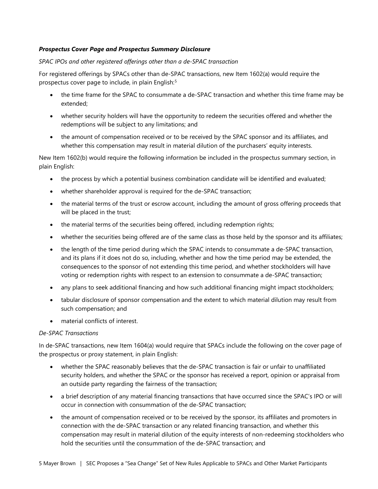#### Prospectus Cover Page and Prospectus Summary Disclosure

#### SPAC IPOs and other registered offerings other than a de-SPAC transaction

For registered offerings by SPACs other than de-SPAC transactions, new Item 1602(a) would require the prospectus cover page to include, in plain English:<sup>5</sup>

- the time frame for the SPAC to consummate a de-SPAC transaction and whether this time frame may be extended;
- whether security holders will have the opportunity to redeem the securities offered and whether the redemptions will be subject to any limitations; and
- the amount of compensation received or to be received by the SPAC sponsor and its affiliates, and whether this compensation may result in material dilution of the purchasers' equity interests.

New Item 1602(b) would require the following information be included in the prospectus summary section, in plain English:

- the process by which a potential business combination candidate will be identified and evaluated;
- whether shareholder approval is required for the de-SPAC transaction;
- the material terms of the trust or escrow account, including the amount of gross offering proceeds that will be placed in the trust;
- the material terms of the securities being offered, including redemption rights;
- whether the securities being offered are of the same class as those held by the sponsor and its affiliates;
- the length of the time period during which the SPAC intends to consummate a de-SPAC transaction, and its plans if it does not do so, including, whether and how the time period may be extended, the consequences to the sponsor of not extending this time period, and whether stockholders will have voting or redemption rights with respect to an extension to consummate a de-SPAC transaction;
- any plans to seek additional financing and how such additional financing might impact stockholders;
- tabular disclosure of sponsor compensation and the extent to which material dilution may result from such compensation; and
- material conflicts of interest.

#### De-SPAC Transactions

In de-SPAC transactions, new Item 1604(a) would require that SPACs include the following on the cover page of the prospectus or proxy statement, in plain English:

- whether the SPAC reasonably believes that the de-SPAC transaction is fair or unfair to unaffiliated security holders, and whether the SPAC or the sponsor has received a report, opinion or appraisal from an outside party regarding the fairness of the transaction;
- a brief description of any material financing transactions that have occurred since the SPAC's IPO or will occur in connection with consummation of the de-SPAC transaction;
- the amount of compensation received or to be received by the sponsor, its affiliates and promoters in connection with the de-SPAC transaction or any related financing transaction, and whether this compensation may result in material dilution of the equity interests of non-redeeming stockholders who hold the securities until the consummation of the de-SPAC transaction; and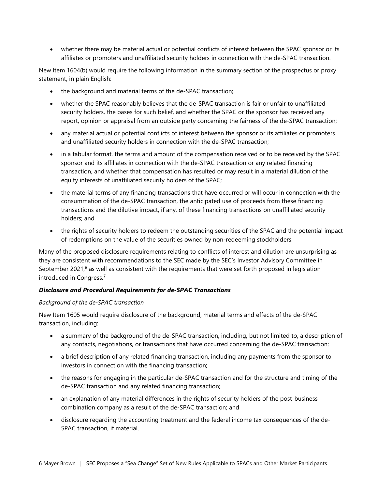whether there may be material actual or potential conflicts of interest between the SPAC sponsor or its affiliates or promoters and unaffiliated security holders in connection with the de-SPAC transaction.

New Item 1604(b) would require the following information in the summary section of the prospectus or proxy statement, in plain English:

- the background and material terms of the de-SPAC transaction;
- whether the SPAC reasonably believes that the de-SPAC transaction is fair or unfair to unaffiliated security holders, the bases for such belief, and whether the SPAC or the sponsor has received any report, opinion or appraisal from an outside party concerning the fairness of the de-SPAC transaction;
- any material actual or potential conflicts of interest between the sponsor or its affiliates or promoters and unaffiliated security holders in connection with the de-SPAC transaction;
- in a tabular format, the terms and amount of the compensation received or to be received by the SPAC sponsor and its affiliates in connection with the de-SPAC transaction or any related financing transaction, and whether that compensation has resulted or may result in a material dilution of the equity interests of unaffiliated security holders of the SPAC;
- the material terms of any financing transactions that have occurred or will occur in connection with the consummation of the de-SPAC transaction, the anticipated use of proceeds from these financing transactions and the dilutive impact, if any, of these financing transactions on unaffiliated security holders; and
- the rights of security holders to redeem the outstanding securities of the SPAC and the potential impact of redemptions on the value of the securities owned by non-redeeming stockholders.

Many of the proposed disclosure requirements relating to conflicts of interest and dilution are unsurprising as they are consistent with recommendations to the SEC made by the SEC's Investor Advisory Committee in September 2021, $6$  as well as consistent with the requirements that were set forth proposed in legislation introduced in Congress.<sup>7</sup>

#### Disclosure and Procedural Requirements for de-SPAC Transactions

#### Background of the de-SPAC transaction

New Item 1605 would require disclosure of the background, material terms and effects of the de-SPAC transaction, including:

- a summary of the background of the de-SPAC transaction, including, but not limited to, a description of any contacts, negotiations, or transactions that have occurred concerning the de-SPAC transaction;
- a brief description of any related financing transaction, including any payments from the sponsor to investors in connection with the financing transaction;
- the reasons for engaging in the particular de-SPAC transaction and for the structure and timing of the de-SPAC transaction and any related financing transaction;
- an explanation of any material differences in the rights of security holders of the post-business combination company as a result of the de-SPAC transaction; and
- disclosure regarding the accounting treatment and the federal income tax consequences of the de-SPAC transaction, if material.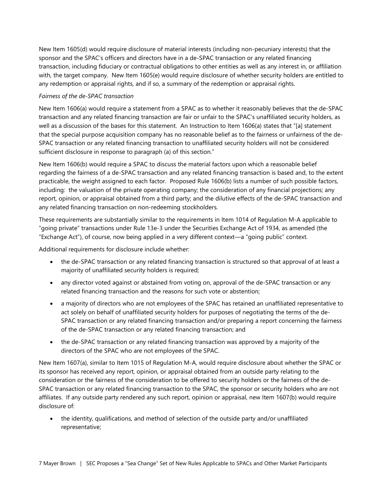New Item 1605(d) would require disclosure of material interests (including non-pecuniary interests) that the sponsor and the SPAC's officers and directors have in a de-SPAC transaction or any related financing transaction, including fiduciary or contractual obligations to other entities as well as any interest in, or affiliation with, the target company. New Item 1605(e) would require disclosure of whether security holders are entitled to any redemption or appraisal rights, and if so, a summary of the redemption or appraisal rights.

#### Fairness of the de-SPAC transaction

New Item 1606(a) would require a statement from a SPAC as to whether it reasonably believes that the de-SPAC transaction and any related financing transaction are fair or unfair to the SPAC's unaffiliated security holders, as well as a discussion of the bases for this statement. An Instruction to Item 1606(a) states that "[a] statement that the special purpose acquisition company has no reasonable belief as to the fairness or unfairness of the de-SPAC transaction or any related financing transaction to unaffiliated security holders will not be considered sufficient disclosure in response to paragraph (a) of this section."

New Item 1606(b) would require a SPAC to discuss the material factors upon which a reasonable belief regarding the fairness of a de-SPAC transaction and any related financing transaction is based and, to the extent practicable, the weight assigned to each factor. Proposed Rule 1606(b) lists a number of such possible factors, including: the valuation of the private operating company; the consideration of any financial projections; any report, opinion, or appraisal obtained from a third party; and the dilutive effects of the de-SPAC transaction and any related financing transaction on non-redeeming stockholders.

These requirements are substantially similar to the requirements in Item 1014 of Regulation M-A applicable to "going private" transactions under Rule 13e-3 under the Securities Exchange Act of 1934, as amended (the "Exchange Act"), of course, now being applied in a very different context—a "going public" context.

Additional requirements for disclosure include whether:

- the de-SPAC transaction or any related financing transaction is structured so that approval of at least a majority of unaffiliated security holders is required;
- any director voted against or abstained from voting on, approval of the de-SPAC transaction or any related financing transaction and the reasons for such vote or abstention;
- a majority of directors who are not employees of the SPAC has retained an unaffiliated representative to act solely on behalf of unaffiliated security holders for purposes of negotiating the terms of the de-SPAC transaction or any related financing transaction and/or preparing a report concerning the fairness of the de-SPAC transaction or any related financing transaction; and
- the de-SPAC transaction or any related financing transaction was approved by a majority of the directors of the SPAC who are not employees of the SPAC.

New Item 1607(a), similar to Item 1015 of Regulation M-A, would require disclosure about whether the SPAC or its sponsor has received any report, opinion, or appraisal obtained from an outside party relating to the consideration or the fairness of the consideration to be offered to security holders or the fairness of the de-SPAC transaction or any related financing transaction to the SPAC, the sponsor or security holders who are not affiliates. If any outside party rendered any such report, opinion or appraisal, new Item 1607(b) would require disclosure of:

 the identity, qualifications, and method of selection of the outside party and/or unaffiliated representative;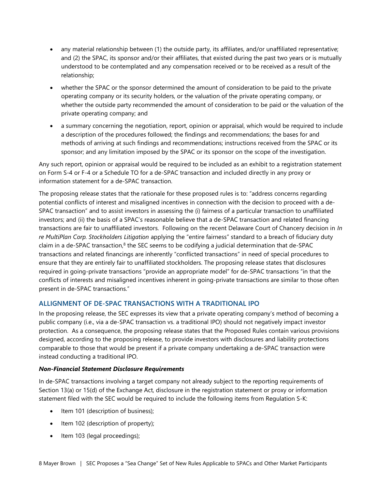- any material relationship between (1) the outside party, its affiliates, and/or unaffiliated representative; and (2) the SPAC, its sponsor and/or their affiliates, that existed during the past two years or is mutually understood to be contemplated and any compensation received or to be received as a result of the relationship;
- whether the SPAC or the sponsor determined the amount of consideration to be paid to the private operating company or its security holders, or the valuation of the private operating company, or whether the outside party recommended the amount of consideration to be paid or the valuation of the private operating company; and
- a summary concerning the negotiation, report, opinion or appraisal, which would be required to include a description of the procedures followed; the findings and recommendations; the bases for and methods of arriving at such findings and recommendations; instructions received from the SPAC or its sponsor; and any limitation imposed by the SPAC or its sponsor on the scope of the investigation.

Any such report, opinion or appraisal would be required to be included as an exhibit to a registration statement on Form S-4 or F-4 or a Schedule TO for a de-SPAC transaction and included directly in any proxy or information statement for a de-SPAC transaction.

The proposing release states that the rationale for these proposed rules is to: "address concerns regarding potential conflicts of interest and misaligned incentives in connection with the decision to proceed with a de-SPAC transaction" and to assist investors in assessing the (i) fairness of a particular transaction to unaffiliated investors; and (ii) the basis of a SPAC's reasonable believe that a de-SPAC transaction and related financing transactions are fair to unaffiliated investors. Following on the recent Delaware Court of Chancery decision in In re MultiPlan Corp. Stockholders Litigation applying the "entire fairness" standard to a breach of fiduciary duty claim in a de-SPAC transaction, $8$  the SEC seems to be codifying a judicial determination that de-SPAC transactions and related financings are inherently "conflicted transactions" in need of special procedures to ensure that they are entirely fair to unaffiliated stockholders. The proposing release states that disclosures required in going-private transactions "provide an appropriate model" for de-SPAC transactions "in that the conflicts of interests and misaligned incentives inherent in going-private transactions are similar to those often present in de-SPAC transactions."

#### ALLIGNMENT OF DE-SPAC TRANSACTIONS WITH A TRADITIONAL IPO

In the proposing release, the SEC expresses its view that a private operating company's method of becoming a public company (i.e., via a de-SPAC transaction vs. a traditional IPO) should not negatively impact investor protection. As a consequence, the proposing release states that the Proposed Rules contain various provisions designed, according to the proposing release, to provide investors with disclosures and liability protections comparable to those that would be present if a private company undertaking a de-SPAC transaction were instead conducting a traditional IPO.

#### Non-Financial Statement Disclosure Requirements

In de-SPAC transactions involving a target company not already subject to the reporting requirements of Section 13(a) or 15(d) of the Exchange Act, disclosure in the registration statement or proxy or information statement filed with the SEC would be required to include the following items from Regulation S-K:

- Item 101 (description of business);
- $\bullet$  Item 102 (description of property);
- Item 103 (legal proceedings);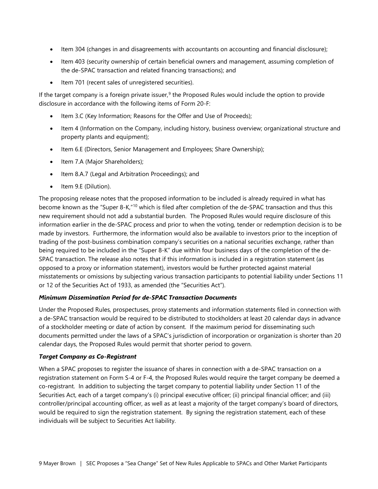- Item 304 (changes in and disagreements with accountants on accounting and financial disclosure);
- Item 403 (security ownership of certain beneficial owners and management, assuming completion of the de-SPAC transaction and related financing transactions); and
- Item 701 (recent sales of unregistered securities).

If the target company is a foreign private issuer,<sup>9</sup> the Proposed Rules would include the option to provide disclosure in accordance with the following items of Form 20-F:

- Item 3.C (Key Information; Reasons for the Offer and Use of Proceeds);
- Item 4 (Information on the Company, including history, business overview; organizational structure and property plants and equipment);
- Item 6.E (Directors, Senior Management and Employees; Share Ownership);
- Item 7.A (Major Shareholders);
- Item 8.A.7 (Legal and Arbitration Proceedings); and
- Item 9.E (Dilution).

The proposing release notes that the proposed information to be included is already required in what has become known as the "Super 8-K,"<sup>10</sup> which is filed after completion of the de-SPAC transaction and thus this new requirement should not add a substantial burden. The Proposed Rules would require disclosure of this information earlier in the de-SPAC process and prior to when the voting, tender or redemption decision is to be made by investors. Furthermore, the information would also be available to investors prior to the inception of trading of the post-business combination company's securities on a national securities exchange, rather than being required to be included in the "Super 8-K" due within four business days of the completion of the de-SPAC transaction. The release also notes that if this information is included in a registration statement (as opposed to a proxy or information statement), investors would be further protected against material misstatements or omissions by subjecting various transaction participants to potential liability under Sections 11 or 12 of the Securities Act of 1933, as amended (the "Securities Act").

#### Minimum Dissemination Period for de-SPAC Transaction Documents

Under the Proposed Rules, prospectuses, proxy statements and information statements filed in connection with a de-SPAC transaction would be required to be distributed to stockholders at least 20 calendar days in advance of a stockholder meeting or date of action by consent. If the maximum period for disseminating such documents permitted under the laws of a SPAC's jurisdiction of incorporation or organization is shorter than 20 calendar days, the Proposed Rules would permit that shorter period to govern.

#### Target Company as Co-Registrant

When a SPAC proposes to register the issuance of shares in connection with a de-SPAC transaction on a registration statement on Form S-4 or F-4, the Proposed Rules would require the target company be deemed a co-registrant. In addition to subjecting the target company to potential liability under Section 11 of the Securities Act, each of a target company's (i) principal executive officer; (ii) principal financial officer; and (iii) controller/principal accounting officer, as well as at least a majority of the target company's board of directors, would be required to sign the registration statement. By signing the registration statement, each of these individuals will be subject to Securities Act liability.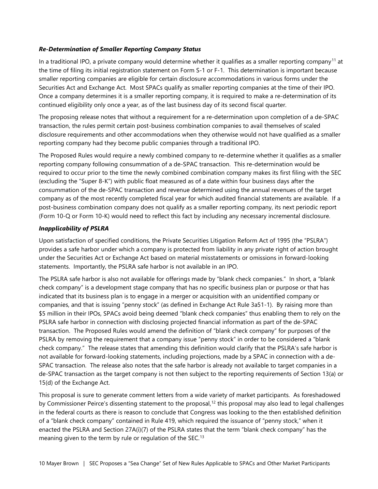#### Re-Determination of Smaller Reporting Company Status

In a traditional IPO, a private company would determine whether it qualifies as a smaller reporting company<sup>11</sup> at the time of filing its initial registration statement on Form S-1 or F-1. This determination is important because smaller reporting companies are eligible for certain disclosure accommodations in various forms under the Securities Act and Exchange Act. Most SPACs qualify as smaller reporting companies at the time of their IPO. Once a company determines it is a smaller reporting company, it is required to make a re-determination of its continued eligibility only once a year, as of the last business day of its second fiscal quarter.

The proposing release notes that without a requirement for a re-determination upon completion of a de-SPAC transaction, the rules permit certain post-business combination companies to avail themselves of scaled disclosure requirements and other accommodations when they otherwise would not have qualified as a smaller reporting company had they become public companies through a traditional IPO.

The Proposed Rules would require a newly combined company to re-determine whether it qualifies as a smaller reporting company following consummation of a de-SPAC transaction. This re-determination would be required to occur prior to the time the newly combined combination company makes its first filing with the SEC (excluding the "Super 8-K") with public float measured as of a date within four business days after the consummation of the de-SPAC transaction and revenue determined using the annual revenues of the target company as of the most recently completed fiscal year for which audited financial statements are available. If a post-business combination company does not qualify as a smaller reporting company, its next periodic report (Form 10-Q or Form 10-K) would need to reflect this fact by including any necessary incremental disclosure.

#### Inapplicability of PSLRA

Upon satisfaction of specified conditions, the Private Securities Litigation Reform Act of 1995 (the "PSLRA") provides a safe harbor under which a company is protected from liability in any private right of action brought under the Securities Act or Exchange Act based on material misstatements or omissions in forward-looking statements. Importantly, the PSLRA safe harbor is not available in an IPO.

The PSLRA safe harbor is also not available for offerings made by "blank check companies." In short, a "blank check company" is a development stage company that has no specific business plan or purpose or that has indicated that its business plan is to engage in a merger or acquisition with an unidentified company or companies, and that is issuing "penny stock" (as defined in Exchange Act Rule 3a51-1). By raising more than \$5 million in their IPOs, SPACs avoid being deemed "blank check companies" thus enabling them to rely on the PSLRA safe harbor in connection with disclosing projected financial information as part of the de-SPAC transaction. The Proposed Rules would amend the definition of "blank check company" for purposes of the PSLRA by removing the requirement that a company issue "penny stock" in order to be considered a "blank check company." The release states that amending this definition would clarify that the PSLRA's safe harbor is not available for forward-looking statements, including projections, made by a SPAC in connection with a de-SPAC transaction. The release also notes that the safe harbor is already not available to target companies in a de-SPAC transaction as the target company is not then subject to the reporting requirements of Section 13(a) or 15(d) of the Exchange Act.

This proposal is sure to generate comment letters from a wide variety of market participants. As foreshadowed by Commissioner Peirce's dissenting statement to the proposal,<sup>12</sup> this proposal may also lead to legal challenges in the federal courts as there is reason to conclude that Congress was looking to the then established definition of a "blank check company" contained in Rule 419, which required the issuance of "penny stock," when it enacted the PSLRA and Section 27A(i)(7) of the PSLRA states that the term "blank check company" has the meaning given to the term by rule or regulation of the SEC.<sup>13</sup>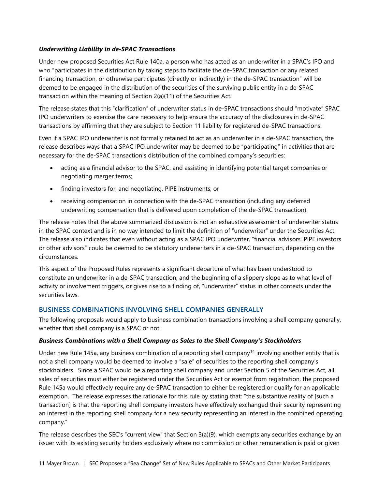#### Underwriting Liability in de-SPAC Transactions

Under new proposed Securities Act Rule 140a, a person who has acted as an underwriter in a SPAC's IPO and who "participates in the distribution by taking steps to facilitate the de-SPAC transaction or any related financing transaction, or otherwise participates (directly or indirectly) in the de-SPAC transaction" will be deemed to be engaged in the distribution of the securities of the surviving public entity in a de-SPAC transaction within the meaning of Section 2(a)(11) of the Securities Act.

The release states that this "clarification" of underwriter status in de-SPAC transactions should "motivate" SPAC IPO underwriters to exercise the care necessary to help ensure the accuracy of the disclosures in de-SPAC transactions by affirming that they are subject to Section 11 liability for registered de-SPAC transactions.

Even if a SPAC IPO underwriter is not formally retained to act as an underwriter in a de-SPAC transaction, the release describes ways that a SPAC IPO underwriter may be deemed to be "participating" in activities that are necessary for the de-SPAC transaction's distribution of the combined company's securities:

- acting as a financial advisor to the SPAC, and assisting in identifying potential target companies or negotiating merger terms;
- finding investors for, and negotiating, PIPE instruments; or
- receiving compensation in connection with the de-SPAC transaction (including any deferred underwriting compensation that is delivered upon completion of the de-SPAC transaction).

The release notes that the above summarized discussion is not an exhaustive assessment of underwriter status in the SPAC context and is in no way intended to limit the definition of "underwriter" under the Securities Act. The release also indicates that even without acting as a SPAC IPO underwriter, "financial advisors, PIPE investors or other advisors" could be deemed to be statutory underwriters in a de-SPAC transaction, depending on the circumstances.

This aspect of the Proposed Rules represents a significant departure of what has been understood to constitute an underwriter in a de-SPAC transaction; and the beginning of a slippery slope as to what level of activity or involvement triggers, or gives rise to a finding of, "underwriter" status in other contexts under the securities laws.

#### BUSINESS COMBINATIONS INVOLVING SHELL COMPANIES GENERALLY

The following proposals would apply to business combination transactions involving a shell company generally, whether that shell company is a SPAC or not.

#### Business Combinations with a Shell Company as Sales to the Shell Company's Stockholders

Under new Rule 145a, any business combination of a reporting shell company<sup>14</sup> involving another entity that is not a shell company would be deemed to involve a "sale" of securities to the reporting shell company's stockholders. Since a SPAC would be a reporting shell company and under Section 5 of the Securities Act, all sales of securities must either be registered under the Securities Act or exempt from registration, the proposed Rule 145a would effectively require any de-SPAC transaction to either be registered or qualify for an applicable exemption. The release expresses the rationale for this rule by stating that: "the substantive reality of [such a transaction] is that the reporting shell company investors have effectively exchanged their security representing an interest in the reporting shell company for a new security representing an interest in the combined operating company."

The release describes the SEC's "current view" that Section 3(a)(9), which exempts any securities exchange by an issuer with its existing security holders exclusively where no commission or other remuneration is paid or given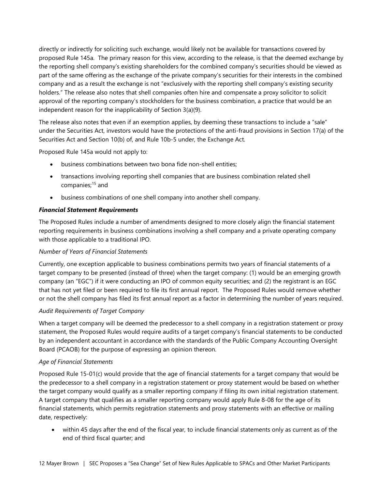directly or indirectly for soliciting such exchange, would likely not be available for transactions covered by proposed Rule 145a. The primary reason for this view, according to the release, is that the deemed exchange by the reporting shell company's existing shareholders for the combined company's securities should be viewed as part of the same offering as the exchange of the private company's securities for their interests in the combined company and as a result the exchange is not "exclusively with the reporting shell company's existing security holders." The release also notes that shell companies often hire and compensate a proxy solicitor to solicit approval of the reporting company's stockholders for the business combination, a practice that would be an independent reason for the inapplicability of Section 3(a)(9).

The release also notes that even if an exemption applies, by deeming these transactions to include a "sale" under the Securities Act, investors would have the protections of the anti-fraud provisions in Section 17(a) of the Securities Act and Section 10(b) of, and Rule 10b-5 under, the Exchange Act.

Proposed Rule 145a would not apply to:

- business combinations between two bona fide non-shell entities;
- transactions involving reporting shell companies that are business combination related shell companies;<sup>15</sup> and
- business combinations of one shell company into another shell company.

#### Financial Statement Requirements

The Proposed Rules include a number of amendments designed to more closely align the financial statement reporting requirements in business combinations involving a shell company and a private operating company with those applicable to a traditional IPO.

#### Number of Years of Financial Statements

Currently, one exception applicable to business combinations permits two years of financial statements of a target company to be presented (instead of three) when the target company: (1) would be an emerging growth company (an "EGC") if it were conducting an IPO of common equity securities; and (2) the registrant is an EGC that has not yet filed or been required to file its first annual report. The Proposed Rules would remove whether or not the shell company has filed its first annual report as a factor in determining the number of years required.

#### Audit Requirements of Target Company

When a target company will be deemed the predecessor to a shell company in a registration statement or proxy statement, the Proposed Rules would require audits of a target company's financial statements to be conducted by an independent accountant in accordance with the standards of the Public Company Accounting Oversight Board (PCAOB) for the purpose of expressing an opinion thereon.

#### Age of Financial Statements

Proposed Rule 15-01(c) would provide that the age of financial statements for a target company that would be the predecessor to a shell company in a registration statement or proxy statement would be based on whether the target company would qualify as a smaller reporting company if filing its own initial registration statement. A target company that qualifies as a smaller reporting company would apply Rule 8-08 for the age of its financial statements, which permits registration statements and proxy statements with an effective or mailing date, respectively:

 within 45 days after the end of the fiscal year, to include financial statements only as current as of the end of third fiscal quarter; and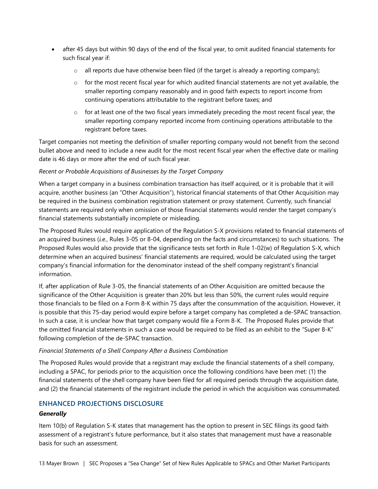- after 45 days but within 90 days of the end of the fiscal year, to omit audited financial statements for such fiscal year if:
	- $\circ$  all reports due have otherwise been filed (if the target is already a reporting company);
	- $\circ$  for the most recent fiscal year for which audited financial statements are not yet available, the smaller reporting company reasonably and in good faith expects to report income from continuing operations attributable to the registrant before taxes; and
	- $\circ$  for at least one of the two fiscal years immediately preceding the most recent fiscal year, the smaller reporting company reported income from continuing operations attributable to the registrant before taxes.

Target companies not meeting the definition of smaller reporting company would not benefit from the second bullet above and need to include a new audit for the most recent fiscal year when the effective date or mailing date is 46 days or more after the end of such fiscal year.

#### Recent or Probable Acquisitions of Businesses by the Target Company

When a target company in a business combination transaction has itself acquired, or it is probable that it will acquire, another business (an "Other Acquisition"), historical financial statements of that Other Acquisition may be required in the business combination registration statement or proxy statement. Currently, such financial statements are required only when omission of those financial statements would render the target company's financial statements substantially incomplete or misleading.

The Proposed Rules would require application of the Regulation S-X provisions related to financial statements of an acquired business (i.e., Rules 3-05 or 8-04, depending on the facts and circumstances) to such situations. The Proposed Rules would also provide that the significance tests set forth in Rule 1-02(w) of Regulation S-X, which determine when an acquired business' financial statements are required, would be calculated using the target company's financial information for the denominator instead of the shelf company registrant's financial information.

If, after application of Rule 3-05, the financial statements of an Other Acquisition are omitted because the significance of the Other Acquisition is greater than 20% but less than 50%, the current rules would require those financials to be filed on a Form 8-K within 75 days after the consummation of the acquisition. However, it is possible that this 75-day period would expire before a target company has completed a de-SPAC transaction. In such a case, it is unclear how that target company would file a Form 8-K. The Proposed Rules provide that the omitted financial statements in such a case would be required to be filed as an exhibit to the "Super 8-K" following completion of the de-SPAC transaction.

#### Financial Statements of a Shell Company After a Business Combination

The Proposed Rules would provide that a registrant may exclude the financial statements of a shell company, including a SPAC, for periods prior to the acquisition once the following conditions have been met: (1) the financial statements of the shell company have been filed for all required periods through the acquisition date, and (2) the financial statements of the registrant include the period in which the acquisition was consummated.

#### ENHANCED PROJECTIONS DISCLOSURE

#### **Generally**

Item 10(b) of Regulation S-K states that management has the option to present in SEC filings its good faith assessment of a registrant's future performance, but it also states that management must have a reasonable basis for such an assessment.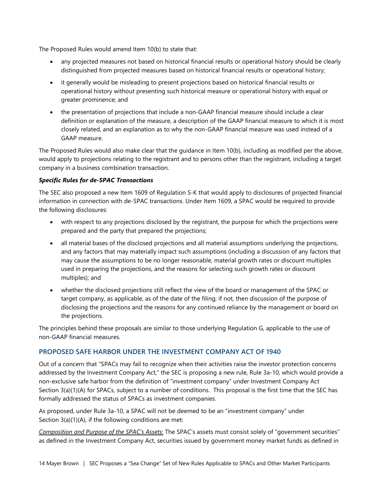The Proposed Rules would amend Item 10(b) to state that:

- any projected measures not based on historical financial results or operational history should be clearly distinguished from projected measures based on historical financial results or operational history;
- it generally would be misleading to present projections based on historical financial results or operational history without presenting such historical measure or operational history with equal or greater prominence; and
- the presentation of projections that include a non-GAAP financial measure should include a clear definition or explanation of the measure, a description of the GAAP financial measure to which it is most closely related, and an explanation as to why the non-GAAP financial measure was used instead of a GAAP measure.

The Proposed Rules would also make clear that the guidance in Item 10(b), including as modified per the above, would apply to projections relating to the registrant and to persons other than the registrant, including a target company in a business combination transaction.

#### Specific Rules for de-SPAC Transactions

The SEC also proposed a new Item 1609 of Regulation S-K that would apply to disclosures of projected financial information in connection with de-SPAC transactions. Under Item 1609, a SPAC would be required to provide the following disclosures:

- with respect to any projections disclosed by the registrant, the purpose for which the projections were prepared and the party that prepared the projections;
- all material bases of the disclosed projections and all material assumptions underlying the projections, and any factors that may materially impact such assumptions (including a discussion of any factors that may cause the assumptions to be no longer reasonable, material growth rates or discount multiples used in preparing the projections, and the reasons for selecting such growth rates or discount multiples); and
- whether the disclosed projections still reflect the view of the board or management of the SPAC or target company, as applicable, as of the date of the filing; if not, then discussion of the purpose of disclosing the projections and the reasons for any continued reliance by the management or board on the projections.

The principles behind these proposals are similar to those underlying Regulation G, applicable to the use of non-GAAP financial measures.

#### PROPOSED SAFE HARBOR UNDER THE INVESTMENT COMPANY ACT OF 1940

Out of a concern that "SPACs may fail to recognize when their activities raise the investor protection concerns addressed by the Investment Company Act," the SEC is proposing a new rule, Rule 3a-10, which would provide a non-exclusive safe harbor from the definition of "investment company" under Investment Company Act Section 3(a)(1)(A) for SPACs, subject to a number of conditions. This proposal is the first time that the SEC has formally addressed the status of SPACs as investment companies.

As proposed, under Rule 3a-10, a SPAC will not be deemed to be an "investment company" under Section 3(a)(1)(A), if the following conditions are met:

Composition and Purpose of the SPAC's Assets: The SPAC's assets must consist solely of "government securities" as defined in the Investment Company Act, securities issued by government money market funds as defined in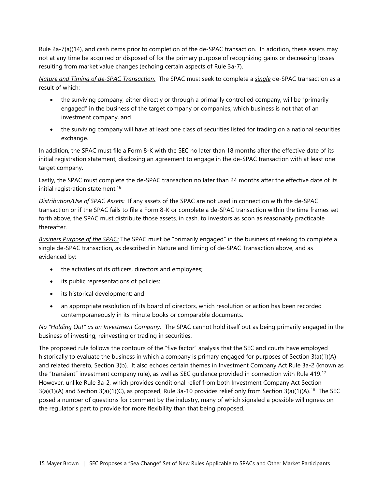Rule 2a-7(a)(14), and cash items prior to completion of the de-SPAC transaction. In addition, these assets may not at any time be acquired or disposed of for the primary purpose of recognizing gains or decreasing losses resulting from market value changes (echoing certain aspects of Rule 3a-7).

Nature and Timing of de-SPAC Transaction: The SPAC must seek to complete a single de-SPAC transaction as a result of which:

- the surviving company, either directly or through a primarily controlled company, will be "primarily engaged" in the business of the target company or companies, which business is not that of an investment company, and
- the surviving company will have at least one class of securities listed for trading on a national securities exchange.

In addition, the SPAC must file a Form 8-K with the SEC no later than 18 months after the effective date of its initial registration statement, disclosing an agreement to engage in the de-SPAC transaction with at least one target company.

Lastly, the SPAC must complete the de-SPAC transaction no later than 24 months after the effective date of its initial registration statement.<sup>16</sup>

Distribution/Use of SPAC Assets: If any assets of the SPAC are not used in connection with the de-SPAC transaction or if the SPAC fails to file a Form 8-K or complete a de-SPAC transaction within the time frames set forth above, the SPAC must distribute those assets, in cash, to investors as soon as reasonably practicable thereafter.

Business Purpose of the SPAC: The SPAC must be "primarily engaged" in the business of seeking to complete a single de-SPAC transaction, as described in Nature and Timing of de-SPAC Transaction above, and as evidenced by:

- the activities of its officers, directors and employees;
- its public representations of policies;
- its historical development; and
- an appropriate resolution of its board of directors, which resolution or action has been recorded contemporaneously in its minute books or comparable documents.

No "Holding Out" as an Investment Company: The SPAC cannot hold itself out as being primarily engaged in the business of investing, reinvesting or trading in securities.

The proposed rule follows the contours of the "five factor" analysis that the SEC and courts have employed historically to evaluate the business in which a company is primary engaged for purposes of Section 3(a)(1)(A) and related thereto, Section 3(b). It also echoes certain themes in Investment Company Act Rule 3a-2 (known as the "transient" investment company rule), as well as SEC guidance provided in connection with Rule 419.<sup>17</sup> However, unlike Rule 3a-2, which provides conditional relief from both Investment Company Act Section  $3(a)(1)(A)$  and Section  $3(a)(1)(C)$ , as proposed, Rule 3a-10 provides relief only from Section  $3(a)(1)(A)$ .<sup>18</sup> The SEC posed a number of questions for comment by the industry, many of which signaled a possible willingness on the regulator's part to provide for more flexibility than that being proposed.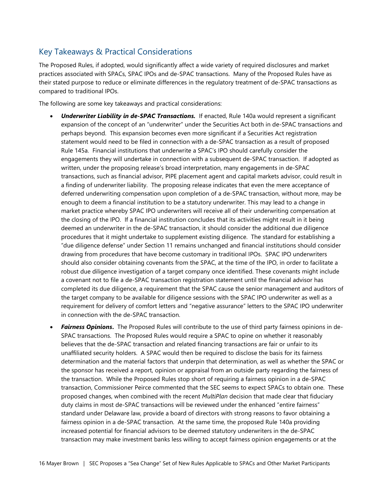## Key Takeaways & Practical Considerations

The Proposed Rules, if adopted, would significantly affect a wide variety of required disclosures and market practices associated with SPACs, SPAC IPOs and de-SPAC transactions. Many of the Proposed Rules have as their stated purpose to reduce or eliminate differences in the regulatory treatment of de-SPAC transactions as compared to traditional IPOs.

The following are some key takeaways and practical considerations:

- Underwriter Liability in de-SPAC Transactions. If enacted, Rule 140a would represent a significant expansion of the concept of an "underwriter" under the Securities Act both in de-SPAC transactions and perhaps beyond. This expansion becomes even more significant if a Securities Act registration statement would need to be filed in connection with a de-SPAC transaction as a result of proposed Rule 145a. Financial institutions that underwrite a SPAC's IPO should carefully consider the engagements they will undertake in connection with a subsequent de-SPAC transaction. If adopted as written, under the proposing release's broad interpretation, many engagements in de-SPAC transactions, such as financial advisor, PIPE placement agent and capital markets advisor, could result in a finding of underwriter liability. The proposing release indicates that even the mere acceptance of deferred underwriting compensation upon completion of a de-SPAC transaction, without more, may be enough to deem a financial institution to be a statutory underwriter. This may lead to a change in market practice whereby SPAC IPO underwriters will receive all of their underwriting compensation at the closing of the IPO. If a financial institution concludes that its activities might result in it being deemed an underwriter in the de-SPAC transaction, it should consider the additional due diligence procedures that it might undertake to supplement existing diligence. The standard for establishing a "due diligence defense" under Section 11 remains unchanged and financial institutions should consider drawing from procedures that have become customary in traditional IPOs. SPAC IPO underwriters should also consider obtaining covenants from the SPAC, at the time of the IPO, in order to facilitate a robust due diligence investigation of a target company once identified. These covenants might include a covenant not to file a de-SPAC transaction registration statement until the financial advisor has completed its due diligence, a requirement that the SPAC cause the senior management and auditors of the target company to be available for diligence sessions with the SPAC IPO underwriter as well as a requirement for delivery of comfort letters and "negative assurance" letters to the SPAC IPO underwriter in connection with the de-SPAC transaction.
- **Fairness Opinions.** The Proposed Rules will contribute to the use of third party fairness opinions in de-SPAC transactions. The Proposed Rules would require a SPAC to opine on whether it reasonably believes that the de-SPAC transaction and related financing transactions are fair or unfair to its unaffiliated security holders. A SPAC would then be required to disclose the basis for its fairness determination and the material factors that underpin that determination, as well as whether the SPAC or the sponsor has received a report, opinion or appraisal from an outside party regarding the fairness of the transaction. While the Proposed Rules stop short of requiring a fairness opinion in a de-SPAC transaction, Commissioner Peirce commented that the SEC seems to expect SPACs to obtain one. These proposed changes, when combined with the recent MultiPlan decision that made clear that fiduciary duty claims in most de-SPAC transactions will be reviewed under the enhanced "entire fairness" standard under Delaware law, provide a board of directors with strong reasons to favor obtaining a fairness opinion in a de-SPAC transaction. At the same time, the proposed Rule 140a providing increased potential for financial advisors to be deemed statutory underwriters in the de-SPAC transaction may make investment banks less willing to accept fairness opinion engagements or at the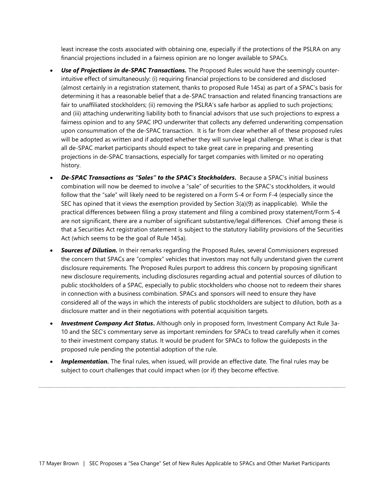least increase the costs associated with obtaining one, especially if the protections of the PSLRA on any financial projections included in a fairness opinion are no longer available to SPACs.

- Use of Projections in de-SPAC Transactions. The Proposed Rules would have the seemingly counterintuitive effect of simultaneously: (i) requiring financial projections to be considered and disclosed (almost certainly in a registration statement, thanks to proposed Rule 145a) as part of a SPAC's basis for determining it has a reasonable belief that a de-SPAC transaction and related financing transactions are fair to unaffiliated stockholders; (ii) removing the PSLRA's safe harbor as applied to such projections; and (iii) attaching underwriting liability both to financial advisors that use such projections to express a fairness opinion and to any SPAC IPO underwriter that collects any deferred underwriting compensation upon consummation of the de-SPAC transaction. It is far from clear whether all of these proposed rules will be adopted as written and if adopted whether they will survive legal challenge. What is clear is that all de-SPAC market participants should expect to take great care in preparing and presenting projections in de-SPAC transactions, especially for target companies with limited or no operating history.
- De-SPAC Transactions as "Sales" to the SPAC's Stockholders. Because a SPAC's initial business combination will now be deemed to involve a "sale" of securities to the SPAC's stockholders, it would follow that the "sale" will likely need to be registered on a Form S-4 or Form F-4 (especially since the SEC has opined that it views the exemption provided by Section 3(a)(9) as inapplicable). While the practical differences between filing a proxy statement and filing a combined proxy statement/Form S-4 are not significant, there are a number of significant substantive/legal differences. Chief among these is that a Securities Act registration statement is subject to the statutory liability provisions of the Securities Act (which seems to be the goal of Rule 145a).
- **Sources of Dilution.** In their remarks regarding the Proposed Rules, several Commissioners expressed the concern that SPACs are "complex" vehicles that investors may not fully understand given the current disclosure requirements. The Proposed Rules purport to address this concern by proposing significant new disclosure requirements, including disclosures regarding actual and potential sources of dilution to public stockholders of a SPAC, especially to public stockholders who choose not to redeem their shares in connection with a business combination. SPACs and sponsors will need to ensure they have considered all of the ways in which the interests of public stockholders are subject to dilution, both as a disclosure matter and in their negotiations with potential acquisition targets.
- Investment Company Act Status. Although only in proposed form, Investment Company Act Rule 3a-10 and the SEC's commentary serve as important reminders for SPACs to tread carefully when it comes to their investment company status. It would be prudent for SPACs to follow the guideposts in the proposed rule pending the potential adoption of the rule.
- Implementation. The final rules, when issued, will provide an effective date. The final rules may be subject to court challenges that could impact when (or if) they become effective.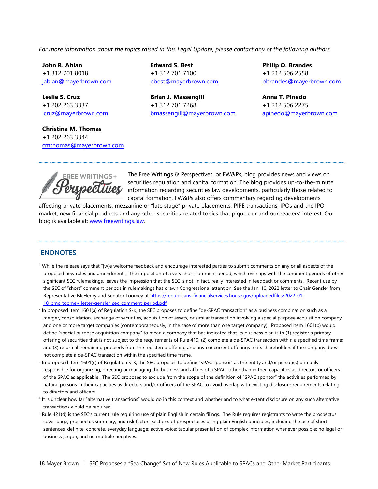For more information about the topics raised in this Legal Update, please contact any of the following authors.

John R. Ablan +1 312 701 8018 jablan@mayerbrown.com

Leslie S. Cruz +1 202 263 3337 lcruz@mayerbrown.com

Christina M. Thomas +1 202 263 3344 cmthomas@mayerbrown.com Edward S. Best +1 312 701 7100 ebest@mayerbrown.com

Brian J. Massengill +1 312 701 7268 bmassengill@mayerbrown.com Philip O. Brandes +1 212 506 2558 pbrandes@mayerbrown.com

Anna T. Pinedo +1 212 506 2275 apinedo@mayerbrown.com



The Free Writings & Perspectives, or FW&Ps, blog provides news and views on securities regulation and capital formation. The blog provides up-to-the-minute information regarding securities law developments, particularly those related to capital formation. FW&Ps also offers commentary regarding developments

affecting private placements, mezzanine or "late stage" private placements, PIPE transactions, IPOs and the IPO market, new financial products and any other securities-related topics that pique our and our readers' interest. Our blog is available at: www.freewritings.law.

#### **ENDNOTES**

- <sup>1</sup> While the release says that "[w]e welcome feedback and encourage interested parties to submit comments on any or all aspects of the proposed new rules and amendments," the imposition of a very short comment period, which overlaps with the comment periods of other significant SEC rulemakings, leaves the impression that the SEC is not, in fact, really interested in feedback or comments. Recent use by the SEC of "short" comment periods in rulemakings has drawn Congressional attention. See the Jan. 10, 2022 letter to Chair Gensler from Representative McHenry and Senator Toomey at https://republicans-financialservices.house.gov/uploadedfiles/2022-01- 10\_pmc\_toomey\_letter-gensler\_sec\_comment\_period.pdf.
- <sup>2</sup> In proposed Item 1601(a) of Regulation S-K, the SEC proposes to define "de-SPAC transaction" as a business combination such as a merger, consolidation, exchange of securities, acquisition of assets, or similar transaction involving a special purpose acquisition company and one or more target companies (contemporaneously, in the case of more than one target company). Proposed Item 1601(b) would define "special purpose acquisition company" to mean a company that has indicated that its business plan is to (1) register a primary offering of securities that is not subject to the requirements of Rule 419; (2) complete a de-SPAC transaction within a specified time frame; and (3) return all remaining proceeds from the registered offering and any concurrent offerings to its shareholders if the company does not complete a de-SPAC transaction within the specified time frame.
- <sup>3</sup> In proposed Item 1601(c) of Regulation S-K, the SEC proposes to define "SPAC sponsor" as the entity and/or person(s) primarily responsible for organizing, directing or managing the business and affairs of a SPAC, other than in their capacities as directors or officers of the SPAC as applicable. The SEC proposes to exclude from the scope of the definition of "SPAC sponsor" the activities performed by natural persons in their capacities as directors and/or officers of the SPAC to avoid overlap with existing disclosure requirements relating to directors and officers.
- <sup>4</sup> It is unclear how far "alternative transactions" would go in this context and whether and to what extent disclosure on any such alternative transactions would be required.
- <sup>5</sup> Rule 421(d) is the SEC's current rule requiring use of plain English in certain filings. The Rule requires registrants to write the prospectus cover page, prospectus summary, and risk factors sections of prospectuses using plain English principles, including the use of short sentences; definite, concrete, everyday language; active voice; tabular presentation of complex information whenever possible; no legal or business jargon; and no multiple negatives.